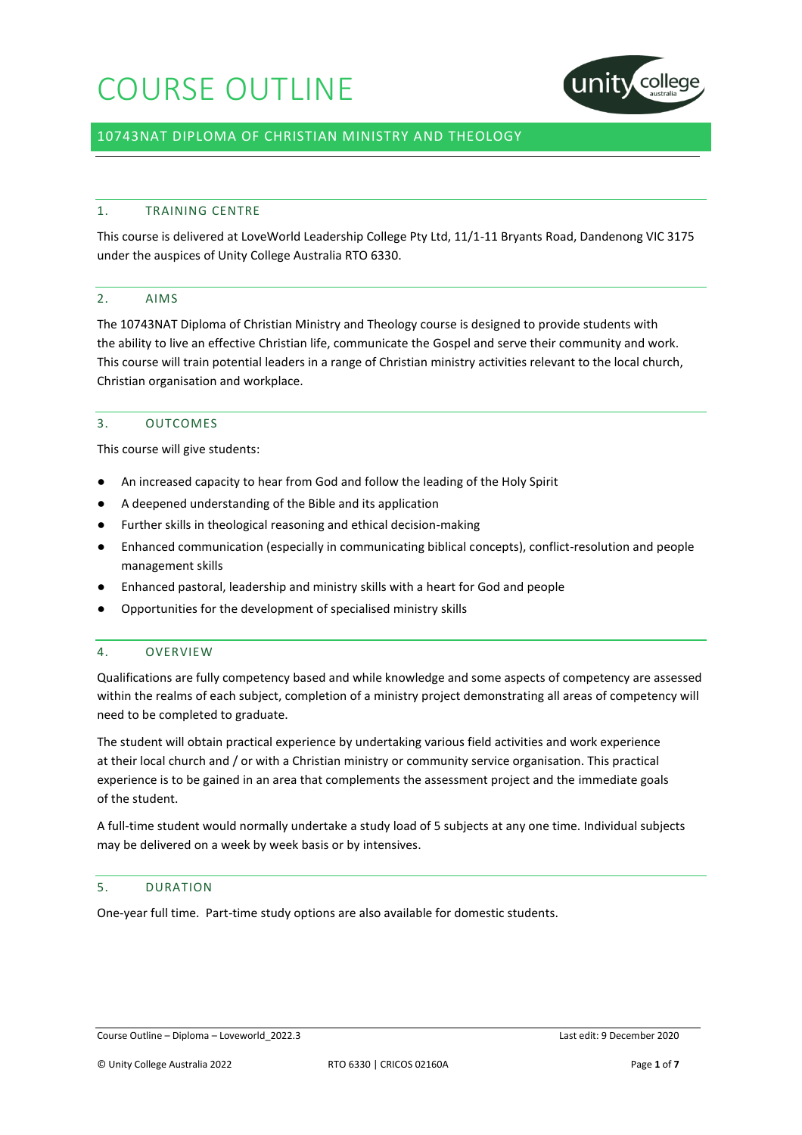

## 10743NAT DIPLOMA OF CHRISTIAN MINISTRY AND THEOLOGY

## 1. TRAINING CENTRE

This course is delivered at LoveWorld Leadership College Pty Ltd, 11/1-11 Bryants Road, Dandenong VIC 3175 under the auspices of Unity College Australia RTO 6330.

## 2. AIMS

The 10743NAT Diploma of Christian Ministry and Theology course is designed to provide students with the ability to live an effective Christian life, communicate the Gospel and serve their community and work. This course will train potential leaders in a range of Christian ministry activities relevant to the local church, Christian organisation and workplace.

## 3. OUTCOMES

This course will give students:

- An increased capacity to hear from God and follow the leading of the Holy Spirit
- A deepened understanding of the Bible and its application
- Further skills in theological reasoning and ethical decision-making
- Enhanced communication (especially in communicating biblical concepts), conflict-resolution and people management skills
- Enhanced pastoral, leadership and ministry skills with a heart for God and people
- Opportunities for the development of specialised ministry skills

### 4. OVERVIEW

Qualifications are fully competency based and while knowledge and some aspects of competency are assessed within the realms of each subject, completion of a ministry project demonstrating all areas of competency will need to be completed to graduate.

The student will obtain practical experience by undertaking various field activities and work experience at their local church and / or with a Christian ministry or community service organisation. This practical experience is to be gained in an area that complements the assessment project and the immediate goals of the student.

A full-time student would normally undertake a study load of 5 subjects at any one time. Individual subjects may be delivered on a week by week basis or by intensives.

### 5. DURATION

One-year full time. Part-time study options are also available for domestic students.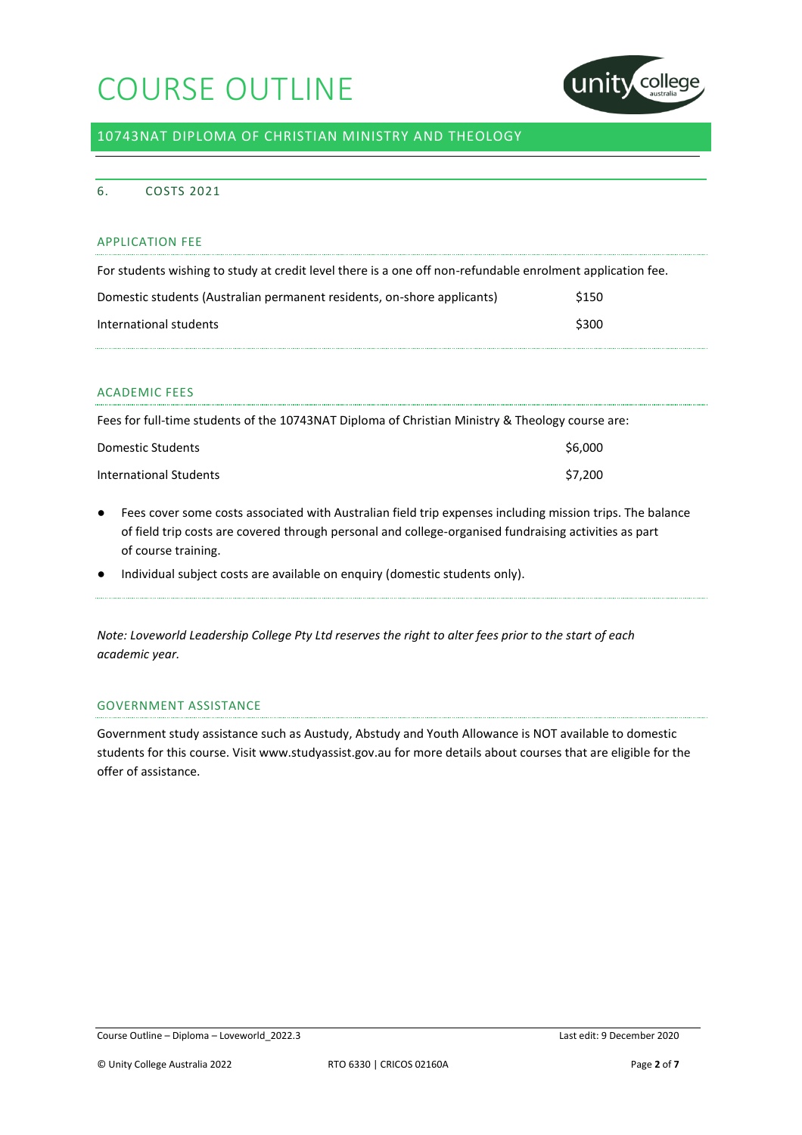

## 10743NAT DIPLOMA OF CHRISTIAN MINISTRY AND THEOLOGY

## 6. COSTS 2021

### APPLICATION FEE

| For students wishing to study at credit level there is a one off non-refundable enrolment application fee. |       |
|------------------------------------------------------------------------------------------------------------|-------|
| Domestic students (Australian permanent residents, on-shore applicants)                                    | \$150 |
| International students                                                                                     | \$300 |

## ACADEMIC FEES

| Fees for full-time students of the 10743NAT Diploma of Christian Ministry & Theology course are: |         |
|--------------------------------------------------------------------------------------------------|---------|
| Domestic Students                                                                                | \$6,000 |
| International Students                                                                           | \$7.200 |

- Fees cover some costs associated with Australian field trip expenses including mission trips. The balance of field trip costs are covered through personal and college-organised fundraising activities as part of course training.
- Individual subject costs are available on enquiry (domestic students only).

*Note: Loveworld Leadership College Pty Ltd reserves the right to alter fees prior to the start of each academic year.*

## GOVERNMENT ASSISTANCE

Government study assistance such as Austudy, Abstudy and Youth Allowance is NOT available to domestic students for this course. Visit www.studyassist.gov.au for more details about courses that are eligible for the offer of assistance.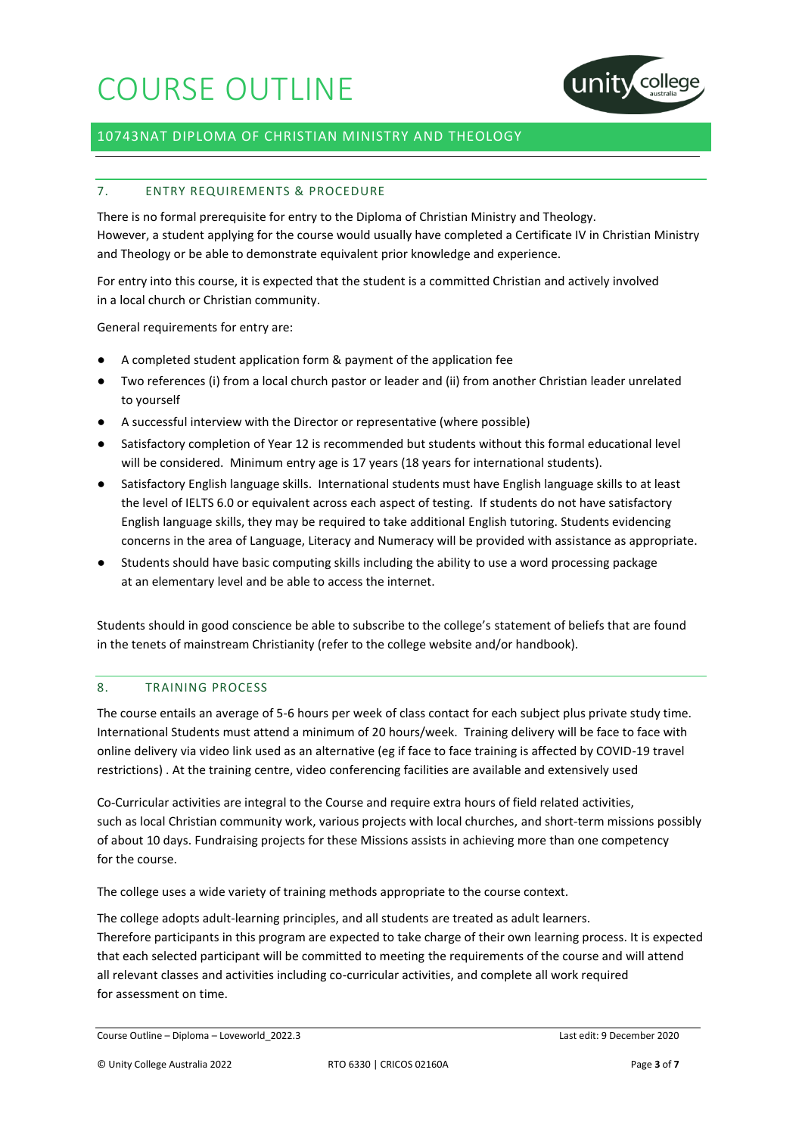

## 10743NAT DIPLOMA OF CHRISTIAN MINISTRY AND THEOLOGY

## 7. ENTRY REQUIREMENTS & PROCEDURE

There is no formal prerequisite for entry to the Diploma of Christian Ministry and Theology. However, a student applying for the course would usually have completed a Certificate IV in Christian Ministry and Theology or be able to demonstrate equivalent prior knowledge and experience.

For entry into this course, it is expected that the student is a committed Christian and actively involved in a local church or Christian community.

General requirements for entry are:

- A completed student application form & payment of the application fee
- Two references (i) from a local church pastor or leader and (ii) from another Christian leader unrelated to yourself
- A successful interview with the Director or representative (where possible)
- Satisfactory completion of Year 12 is recommended but students without this formal educational level will be considered. Minimum entry age is 17 years (18 years for international students).
- Satisfactory English language skills. International students must have English language skills to at least the level of IELTS 6.0 or equivalent across each aspect of testing. If students do not have satisfactory English language skills, they may be required to take additional English tutoring. Students evidencing concerns in the area of Language, Literacy and Numeracy will be provided with assistance as appropriate.
- Students should have basic computing skills including the ability to use a word processing package at an elementary level and be able to access the internet.

Students should in good conscience be able to subscribe to the college's statement of beliefs that are found in the tenets of mainstream Christianity (refer to the college website and/or handbook).

#### 8. TRAINING PROCESS

The course entails an average of 5-6 hours per week of class contact for each subject plus private study time. International Students must attend a minimum of 20 hours/week. Training delivery will be face to face with online delivery via video link used as an alternative (eg if face to face training is affected by COVID-19 travel restrictions) . At the training centre, video conferencing facilities are available and extensively used

Co-Curricular activities are integral to the Course and require extra hours of field related activities, such as local Christian community work, various projects with local churches, and short-term missions possibly of about 10 days. Fundraising projects for these Missions assists in achieving more than one competency for the course.

The college uses a wide variety of training methods appropriate to the course context.

The college adopts adult-learning principles, and all students are treated as adult learners. Therefore participants in this program are expected to take charge of their own learning process. It is expected that each selected participant will be committed to meeting the requirements of the course and will attend all relevant classes and activities including co-curricular activities, and complete all work required for assessment on time.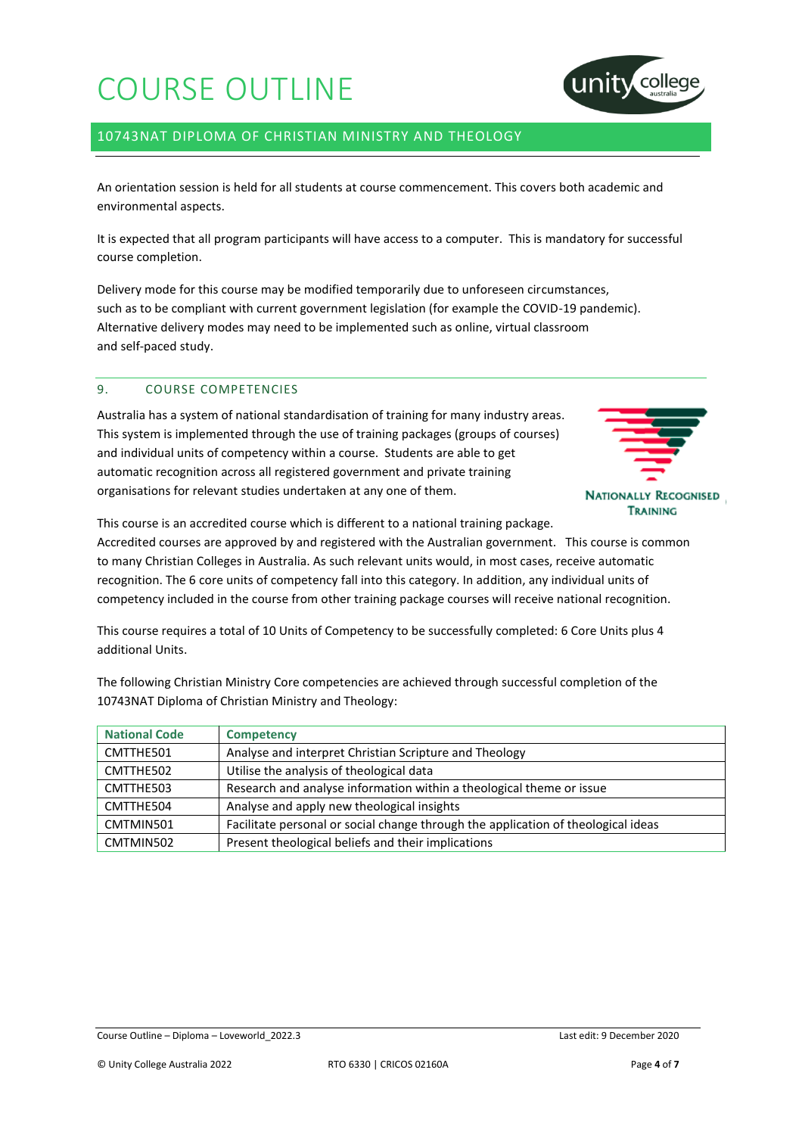

## 10743NAT DIPLOMA OF CHRISTIAN MINISTRY AND THEOLOGY

An orientation session is held for all students at course commencement. This covers both academic and environmental aspects.

It is expected that all program participants will have access to a computer. This is mandatory for successful course completion.

Delivery mode for this course may be modified temporarily due to unforeseen circumstances, such as to be compliant with current government legislation (for example the COVID-19 pandemic). Alternative delivery modes may need to be implemented such as online, virtual classroom and self-paced study.

## 9. COURSE COMPETENCIES

Australia has a system of national standardisation of training for many industry areas. This system is implemented through the use of training packages (groups of courses) and individual units of competency within a course. Students are able to get automatic recognition across all registered government and private training organisations for relevant studies undertaken at any one of them.



This course is an accredited course which is different to a national training package.

Accredited courses are approved by and registered with the Australian government. This course is common to many Christian Colleges in Australia. As such relevant units would, in most cases, receive automatic recognition. The 6 core units of competency fall into this category. In addition, any individual units of competency included in the course from other training package courses will receive national recognition.

This course requires a total of 10 Units of Competency to be successfully completed: 6 Core Units plus 4 additional Units.

| <b>National Code</b> | <b>Competency</b>                                                                 |
|----------------------|-----------------------------------------------------------------------------------|
| CMTTHE501            | Analyse and interpret Christian Scripture and Theology                            |
| CMTTHE502            | Utilise the analysis of theological data                                          |
| CMTTHE503            | Research and analyse information within a theological theme or issue              |
| CMTTHE504            | Analyse and apply new theological insights                                        |
| CMTMIN501            | Facilitate personal or social change through the application of theological ideas |
| CMTMIN502            | Present theological beliefs and their implications                                |

The following Christian Ministry Core competencies are achieved through successful completion of the 10743NAT Diploma of Christian Ministry and Theology: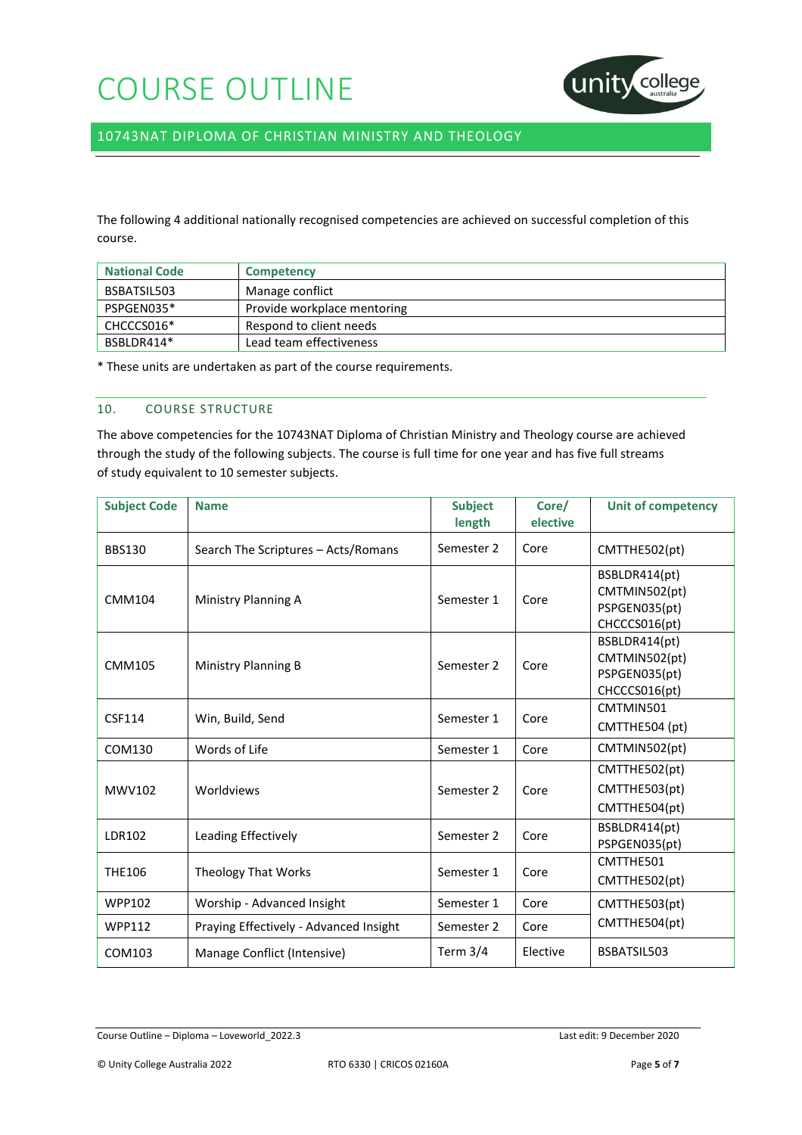

10743NAT DIPLOMA OF CHRISTIAN MINISTRY AND THEOLOGY

The following 4 additional nationally recognised competencies are achieved on successful completion of this course.

| <b>National Code</b> | <b>Competency</b>           |
|----------------------|-----------------------------|
| BSBATSIL503          | Manage conflict             |
| PSPGEN035*           | Provide workplace mentoring |
| CHCCCS016*           | Respond to client needs     |
| BSBLDR414*           | Lead team effectiveness     |

\* These units are undertaken as part of the course requirements.

### 10. COURSE STRUCTURE

The above competencies for the 10743NAT Diploma of Christian Ministry and Theology course are achieved through the study of the following subjects. The course is full time for one year and has five full streams of study equivalent to 10 semester subjects.

| <b>Subject Code</b> | <b>Name</b>                            | <b>Subject</b><br>length | Core/<br>elective | <b>Unit of competency</b>                                        |
|---------------------|----------------------------------------|--------------------------|-------------------|------------------------------------------------------------------|
| <b>BBS130</b>       | Search The Scriptures - Acts/Romans    | Semester 2               | Core              | CMTTHE502(pt)                                                    |
| <b>CMM104</b>       | Ministry Planning A                    | Semester 1               | Core              | BSBLDR414(pt)<br>CMTMIN502(pt)<br>PSPGEN035(pt)<br>CHCCCS016(pt) |
| <b>CMM105</b>       | Ministry Planning B                    | Semester 2               | Core              | BSBLDR414(pt)<br>CMTMIN502(pt)<br>PSPGEN035(pt)<br>CHCCCS016(pt) |
| CSF114              | Win, Build, Send                       | Semester 1               | Core              | CMTMIN501<br>CMTTHE504 (pt)                                      |
| COM130              | Words of Life                          | Semester 1               | Core              | CMTMIN502(pt)                                                    |
| <b>MWV102</b>       | Worldviews                             | Semester 2               | Core              | CMTTHE502(pt)<br>CMTTHE503(pt)<br>CMTTHE504(pt)                  |
| <b>LDR102</b>       | Leading Effectively                    | Semester 2               | Core              | BSBLDR414(pt)<br>PSPGEN035(pt)                                   |
| <b>THE106</b>       | <b>Theology That Works</b>             | Semester 1               | Core              | CMTTHE501<br>CMTTHE502(pt)                                       |
| <b>WPP102</b>       | Worship - Advanced Insight             | Semester 1               | Core              | CMTTHE503(pt)                                                    |
| <b>WPP112</b>       | Praying Effectively - Advanced Insight | Semester 2               | Core              | CMTTHE504(pt)                                                    |
| COM103              | Manage Conflict (Intensive)            | Term $3/4$               | Elective          | BSBATSIL503                                                      |

Course Outline – Diploma – Loveworld\_2022.3 Last edit: 9 December 2020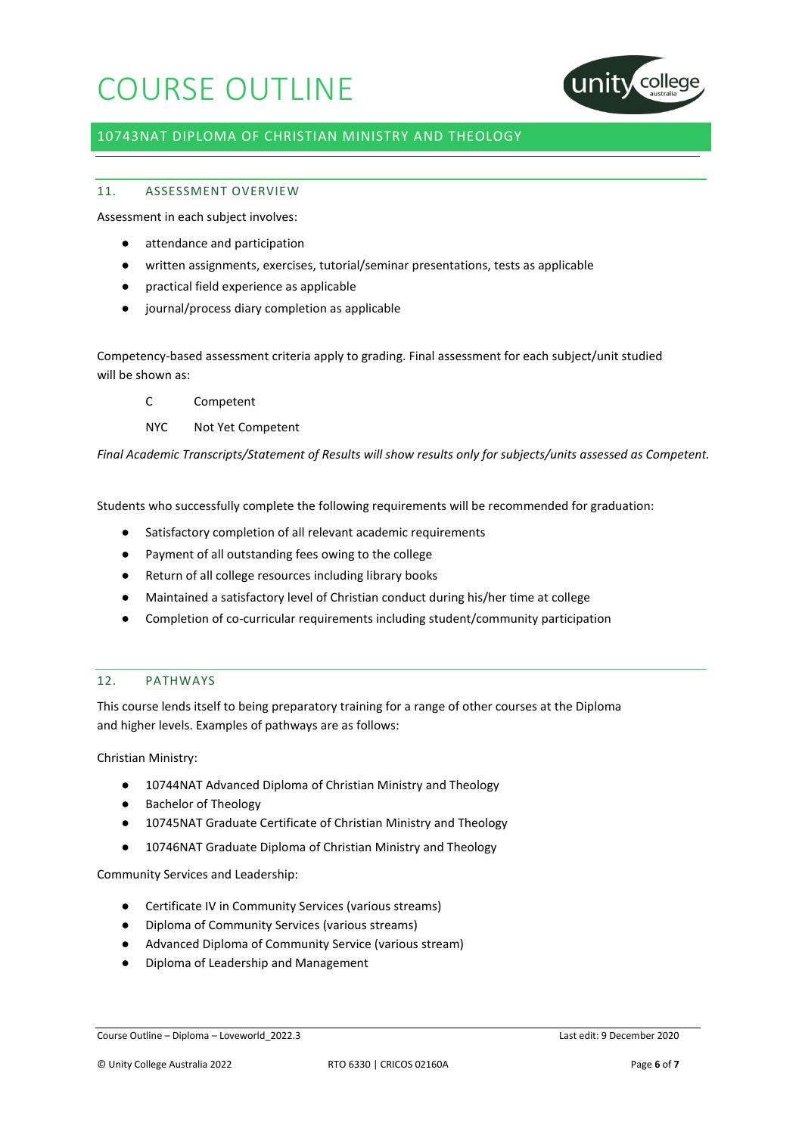

## 10743NAT DIPLOMA OF CHRISTIAN MINISTRY AND THEOLOGY

## 11. ASSESSMENT OVERVIEW

Assessment in each subject involves:

- attendance and participation
- written assignments, exercises, tutorial/seminar presentations, tests as applicable
- practical field experience as applicable
- journal/process diary completion as applicable

Competency-based assessment criteria apply to grading. Final assessment for each subject/unit studied will be shown as:

- C Competent
- NYC Not Yet Competent

*Final Academic Transcripts/Statement of Results will show results only for subjects/units assessed as Competent.*

Students who successfully complete the following requirements will be recommended for graduation:

- Satisfactory completion of all relevant academic requirements
- Payment of all outstanding fees owing to the college
- Return of all college resources including library books
- Maintained a satisfactory level of Christian conduct during his/her time at college
- Completion of co-curricular requirements including student/community participation

## 12. PATHWAYS

This course lends itself to being preparatory training for a range of other courses at the Diploma and higher levels. Examples of pathways are as follows:

Christian Ministry:

- 10744NAT Advanced Diploma of Christian Ministry and Theology
- Bachelor of Theology
- 10745NAT Graduate Certificate of Christian Ministry and Theology
- 10746NAT Graduate Diploma of Christian Ministry and Theology

Community Services and Leadership:

- Certificate IV in Community Services (various streams)
- Diploma of Community Services (various streams)
- Advanced Diploma of Community Service (various stream)
- Diploma of Leadership and Management

Course Outline – Diploma – Loveworld\_2022.3 Last edit: 9 December 2020